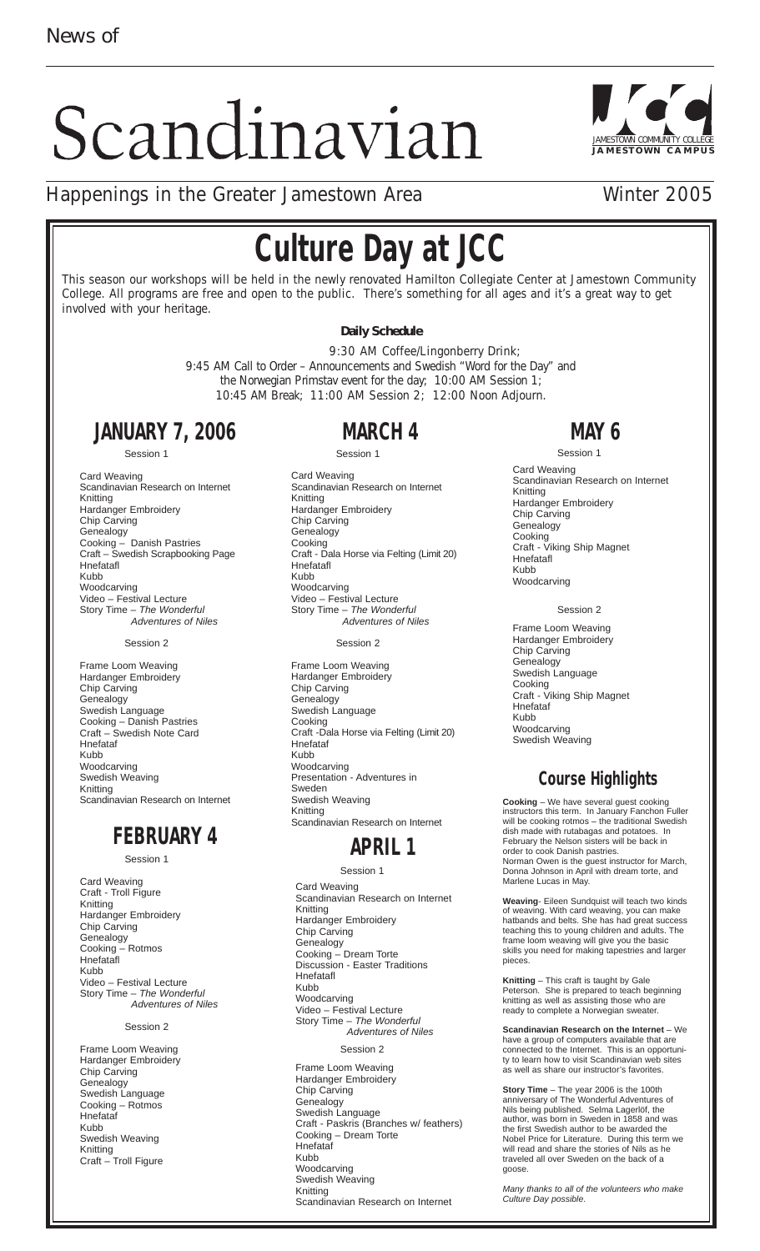# Scandinavian



## Happenings in the Greater Jamestown Area **Winter 2005**

# **Culture Day at JCC**

This season our workshops will be held in the newly renovated Hamilton Collegiate Center at Jamestown Community College. All programs are free and open to the public. There's something for all ages and it's a great way to get involved with your heritage.

#### **Daily Schedule**

9:30 AM Coffee/Lingonberry Drink; 9:45 AM Call to Order – Announcements and Swedish "Word for the Day" and the Norwegian Primstav event for the day; 10:00 AM Session 1; 10:45 AM Break; 11:00 AM Session 2; 12:00 Noon Adjourn.

# **JANUARY 7, 2006**

Session 1

Card Weaving Scandinavian Research on Internet Knitting Hardanger Embroidery Chip Carving Genealogy Cooking – Danish Pastries Craft – Swedish Scrapbooking Page Hnefatafl Kubb Woodcarving Video – Festival Lecture Story Time - The Wonderful Adventures of Niles

#### Session 2

Frame Loom Weaving Hardanger Embroidery Chip Carving Genealogy Swedish Language Cooking – Danish Pastries Craft – Swedish Note Card Hnefataf Kubb Woodcarving Swedish Weaving Knitting Scandinavian Research on Internet

#### **FEBRUARY 4**

Session 1

Card Weaving Craft - Troll Figure Knitting Hardanger Embroidery Chip Carving Genealogy Cooking – Rotmos Hnefatafl Kubb Video – Festival Lecture Story Time – The Wonderful Adventures of Niles

#### Session 2

Frame Loom Weaving Hardanger Embroidery Chip Carving Genealogy Swedish Language Cooking – Rotmos Hnefataf Kubb Swedish Weaving Knitting Craft – Troll Figure

# **MARCH 4**

Session 1

Card Weaving Scandinavian Research on Internet Knitting Hardanger Embroidery Chip Carving **Genealogy** Cooking Craft - Dala Horse via Felting (Limit 20) Hnefatafl Kubb Woodcarving Video – Festival Lecture Story Time – The Wonderful Adventures of Niles

Session 2

Frame Loom Weaving Hardanger Embroidery Chip Carving **Genealogy** Swedish Language Cooking Craft -Dala Horse via Felting (Limit 20) Hnefataf Kubb Woodcarving Presentation - Adventures in Sweden Swedish Weaving Knitting Scandinavian Research on Internet

#### **APRIL 1**

Session 1

Card Weaving Scandinavian Research on Internet Knitting Hardanger Embroidery Chip Carving **Genealogy** Cooking – Dream Torte Discussion - Easter Traditions Hnefatafl Kubb Woodcarving Video – Festival Lecture Story Time – The Wonderful Adventures of Niles Session 2 Frame Loom Weaving

Hardanger Embroidery Chip Carving Genealogy Swedish Language Craft - Paskris (Branches w/ feathers) Cooking – Dream Torte Hnefataf Kubb Woodcarving Swedish Weaving Knitting Scandinavian Research on Internet

# **MAY 6**

Session 1 Card Weaving Scandinavian Research on Internet Knitting Hardanger Embroidery Chip Carving **Genealogy** Cooking Craft - Viking Ship Magnet Hnefatafl Kubb Woodcarving

Session 2

Frame Loom Weaving Hardanger Embroidery Chip Carving **Genealogy** Swedish Language Cooking Craft - Viking Ship Magnet Hnefataf Kubb Woodcarving Swedish Weaving

### **Course Highlights**

**Cooking** – We have several guest cooking instructors this term. In January Fanchon Fuller will be cooking rotmos – the traditional Swedish dish made with rutabagas and potatoes. In February the Nelson sisters will be back in order to cook Danish pastries. Norman Owen is the guest instructor for March, Donna Johnson in April with dream torte, and Marlene Lucas in May.

**Weaving**- Eileen Sundquist will teach two kinds of weaving. With card weaving, you can make hatbands and belts. She has had great success teaching this to young children and adults. The frame loom weaving will give you the basic skills you need for making tapestries and larger pieces.

**Knitting** – This craft is taught by Gale Peterson. She is prepared to teach beginning knitting as well as assisting those who are ready to complete a Norwegian sweater.

**Scandinavian Research on the Internet** – We have a group of computers available that are connected to the Internet. This is an opportunity to learn how to visit Scandinavian web sites as well as share our instructor's favorites.

**Story Time** – The year 2006 is the 100th anniversary of The Wonderful Adventures of Nils being published. Selma Lagerlöf, the author, was born in Sweden in 1858 and was the first Swedish author to be awarded the Nobel Price for Literature. During this term we will read and share the stories of Nils as he traveled all over Sweden on the back of a goose.

Many thanks to all of the volunteers who make Culture Day possible.